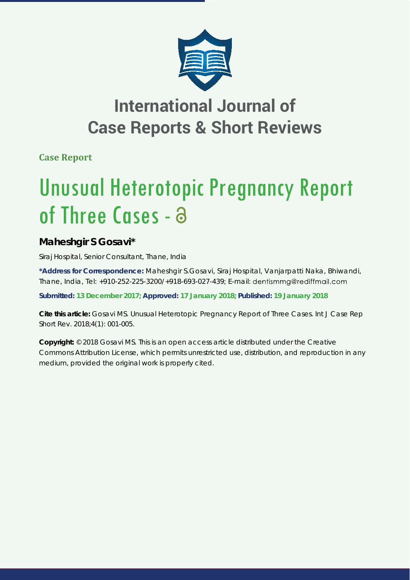

## **International Journal of Case Reports & Short Reviews**

**Case Report**

# Unusual Heterotopic Pregnancy Report of Three Cases - a

### **Maheshgir S Gosavi\***

*Siraj Hospital, Senior Consultant, Thane, India*

**\*Address for Correspondence:** Maheshgir S.Gosavi, Siraj Hospital, Vanjarpatti Naka, Bhiwandi, Thane, India, Tel: +910-252-225-3200/+918-693-027-439; E-mail:

**Submitted: 13 December 2017; Approved: 17 January 2018; Published: 19 January 2018**

**Cite this article:** Gosavi MS. Unusual Heterotopic Pregnancy Report of Three Cases. Int J Case Rep Short Rev. 2018;4(1): 001-005.

**Copyright:** © 2018 Gosavi MS. This is an open access article distributed under the Creative Commons Attribution License, which permits unrestricted use, distribution, and reproduction in any medium, provided the original work is properly cited.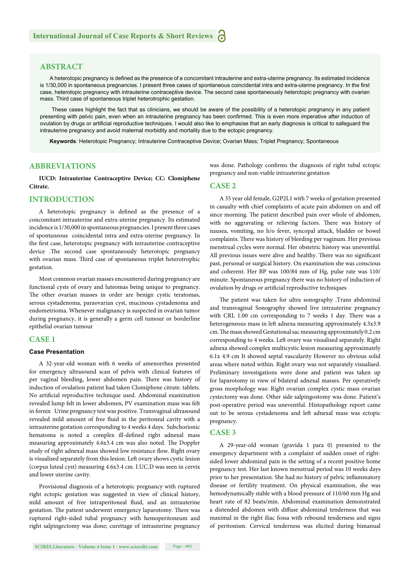#### **ABSTRACT**

A heterotopic pregnancy is defined as the presence of a concomitant intrauterine and extra-uterine pregnancy. Its estimated incidence is 1/30,000 in spontaneous pregnancies. I present three cases of spontaneous coincidental intra and extra-uterine pregnancy. In the first case, heterotopic pregnancy with intrauterine contraceptive device. The second case spontaneously heterotopic pregnancy with ovarian mass. Third case of spontaneous triplet heterotrophic gestation.

 These cases highlight the fact that as clinicians, we should be aware of the possibility of a heterotopic pregnancy in any patient presenting with pelvic pain, even when an intrauterine pregnancy has been confirmed. This is even more imperative after induction of ovulation by drugs or artificial reproductive techniques. I would also like to emphasise that an early diagnosis is critical to safeguard the intrauterine pregnancy and avoid maternal morbidity and mortality due to the ectopic pregnancy.

**Keywords**: Heterotopic Pregnancy; Intrauterine Contraceptive Device; Ovarian Mass; Triplet Pregnancy; Spontaneous

#### **ABBREVIATIONS**

**IUCD: Intrauterine Contraceptive Device; CC: Clomiphene Citrate.** 

#### **INTRODUCTION**

A heterotopic pregnancy is defined as the presence of a concomitant intrauterine and extra-uterine pregnancy. Its estimated incidence is 1/30,000 in spontaneous pregnancies. I present three cases of spontaneous coincidental intra and extra-uterine pregnancy. In the first case, heterotopic pregnancy with intrauterine contraceptive device .The second case spontaneously heterotopic pregnancy with ovarian mass. Third case of spontaneous triplet heterotrophic gestation.

Most common ovarian masses encountered during pregnancy are functional cysts of ovary and luteomas being unique to pregnancy. The other ovarian masses in order are benign cystic teratomas, serous cystadenoma, paraovarian cyst, mucinous cystadenoma and endometrioma. Whenever malignancy is suspected in ovarian tumor during pregnancy, it is generally a germ cell tumour or borderline epithelial ovarian tumour

#### **CASE 1**

#### **Case Presentation**

A 32-year-old woman with 6 weeks of amenorrhea presented for emergency ultrasound scan of pelvis with clinical features of per vaginal bleeding, lower abdomen pain. There was history of induction of ovulation patient had taken Clomiphene citrate. tablets. No artificial reproductive technique used. Abdominal examination revealed lump felt in lower abdomen, PV examination mass was felt in fornix Urine pregnancy test was positive. Transvaginal ultrasound revealed mild amount of free fluid in the peritoneal cavity with a intrauterine gestation corresponding to 4 weeks 4 days. Subchorionic hematoma is noted a complex ill-defined right adnexal mass measuring approximately 4.6x3.4 cm was also noted. The Doppler study of right adnexal mass showed low resistance flow. Right ovary is visualised separately from this lesion. Left ovary shows cystic lesion (corpus luteal cyst) measuring 4.6x3.4 cm. I.UC.D was seen in cervix and lower uterine cavity.

Provisional diagnosis of a heterotopic pregnancy with ruptured right ectopic gestation was suggested in view of clinical history, mild amount of free intraperitoneal fluid, and an intrauterine gestation. The patient underwent emergency laparotomy. There was ruptured right-sided tubal pregnancy with hemoperitoneum and right salpingectomy was done; curettage of intrauterine pregnancy was done. Pathology confirms the diagnosis of right tubal ectopic pregnancy and non-viable intrauterine gestation

#### **CASE 2**

A 35 year old female, G2P2L1 with 7 weeks of gestation presented in casualty with chief complaints of acute pain abdomen on and off since morning. The patient described pain over whole of abdomen, with no aggravating or relieving factors. There was history of nausea, vomiting, no h/o fever, syncopal attack, bladder or bowel complaints. There was history of bleeding per vaginum. Her previous menstrual cycles were normal. Her obstetric history was uneventful. All previous issues were alive and healthy. There was no significant past, personal or surgical history. On examination she was conscious and coherent. Her BP was 100/84 mm of Hg, pulse rate was 110/ minute. Spontaneous pregnancy there was no history of induction of ovulation by drugs or artificial reproductive techniques

The patient was taken for ultra sonography .Trans abdominal and transvaginal Sonography showed live intrauterine pregnancy with CRL 1.00 cm corresponding to 7 weeks 1 day. There was a heterogeneous mass in left adnexa measuring approximately 4.3x3.9 cm. The mass showed Gestational sac measuring approximately 0.2 cm corresponding to 4 weeks. Left ovary was visualised separately. Right adnexa showed complex multicystic lesion measuring approximately 6.1x 4.9 cm It showed septal vascularity However no obvious solid areas where noted within. Right ovary was not separately visualised. Preliminary investigations were done and patient was taken up for laparotomy in view of bilateral adnexal masses. Per operatively gross morphology was: Right ovarian complex cystic mass ovarian cystectomy was done. Other side salpingostomy was done. Patient's post-operative period was uneventful. Histopathology report came out to be serous cystadenoma and left adnexal mass was ectopic pregnancy.

#### **CASE 3**

A 29-year-old woman (gravida 1 para 0) presented to the emergency department with a complaint of sudden onset of rightsided lower abdominal pain in the setting of a recent positive home pregnancy test. Her last known menstrual period was 10 weeks days prior to her presentation. She had no history of pelvic inflammatory disease or fertility treatment. On physical examination, she was hemodynamically stable with a blood pressure of 110/60 mm Hg and heart rate of 82 beats/min. Abdominal examination demonstrated a distended abdomen with diffuse abdominal tenderness that was maximal in the right iliac fossa with rebound tenderness and signs of peritonism. Cervical tenderness was elicited during bimanual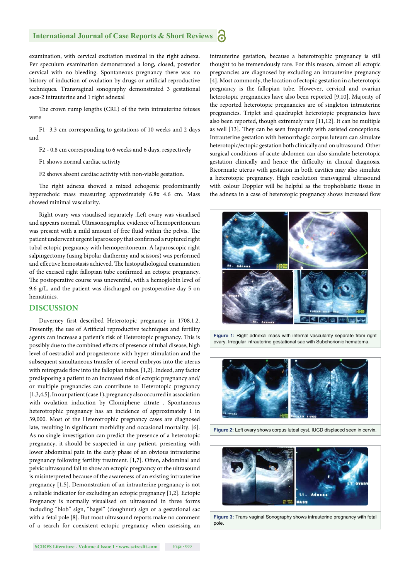#### **International Journal of Case Reports & Short Reviews** Ы

examination, with cervical excitation maximal in the right adnexa. Per speculum examination demonstrated a long, closed, posterior cervical with no bleeding. Spontaneous pregnancy there was no history of induction of ovulation by drugs or artificial reproductive techniques. Transvaginal sonography demonstrated 3 gestational sacs-2 intrauterine and 1 right adnexal

The crown rump lengths (CRL) of the twin intrauterine fetuses were

F1- 3.3 cm corresponding to gestations of 10 weeks and 2 days and

F2 - 0.8 cm corresponding to 6 weeks and 6 days, respectively

F1 shows normal cardiac activity

F2 shows absent cardiac activity with non-viable gestation.

The right adnexa showed a mixed echogenic predominantly hyperechoic mass measuring approximately 6.8x 4.6 cm. Mass showed minimal vascularity.

Right ovary was visualised separately .Left ovary was visualised and appears normal. Ultrasonographic evidence of hemoperitoneum was present with a mild amount of free fluid within the pelvis. The patient underwent urgent laparoscopy that confirmed a ruptured right tubal ectopic pregnancy with hemoperitoneum. A laparoscopic right salpingectomy (using bipolar diathermy and scissors) was performed and effective hemostasis achieved. The histopathological examination of the excised right fallopian tube confirmed an ectopic pregnancy. The postoperative course was uneventful, with a hemoglobin level of 9.6 g/L, and the patient was discharged on postoperative day 5 on hematinics.

#### **DISCUSSION**

Duverney first described Heterotopic pregnancy in 1708.1,2. Presently, the use of Artificial reproductive techniques and fertility agents can increase a patient's risk of Heterotopic pregnancy. This is possibly due to the combined effects of presence of tubal disease, high level of oestradiol and progesterone with hyper stimulation and the subsequent simultaneous transfer of several embryos into the uterus with retrograde flow into the fallopian tubes. [1,2]. Indeed, any factor predisposing a patient to an increased risk of ectopic pregnancy and/ or multiple pregnancies can contribute to Heterotopic pregnancy [1,3,4,5]. In our patient (case 1), pregnancy also occurred in association with ovulation induction by Clomiphene citrate . Spontaneous heterotrophic pregnancy has an incidence of approximately 1 in 39,000. Most of the Heterotrophic pregnancy cases are diagnosed late, resulting in significant morbidity and occasional mortality. [6]. As no single investigation can predict the presence of a heterotopic pregnancy, it should be suspected in any patient, presenting with lower abdominal pain in the early phase of an obvious intrauterine pregnancy following fertility treatment. [1,7]. Often, abdominal and pelvic ultrasound fail to show an ectopic pregnancy or the ultrasound is misinterpreted because of the awareness of an existing intrauterine pregnancy [1,5]. Demonstration of an intrauterine pregnancy is not a reliable indicator for excluding an ectopic pregnancy [1,2]. Ectopic Pregnancy is normally visualised on ultrasound in three forms including "blob" sign, "bagel" (doughnut) sign or a gestational sac with a fetal pole [8]. But most ultrasound reports make no comment of a search for coexistent ectopic pregnancy when assessing an intrauterine gestation, because a heterotrophic pregnancy is still thought to be tremendously rare. For this reason, almost all ectopic pregnancies are diagnosed by excluding an intrauterine pregnancy [4]. Most commonly, the location of ectopic gestation in a heterotopic pregnancy is the fallopian tube. However, cervical and ovarian heterotopic pregnancies have also been reported [9,10]. Majority of the reported heterotopic pregnancies are of singleton intrauterine pregnancies. Triplet and quadruplet heterotopic pregnancies have also been reported, though extremely rare [11,12]. It can be multiple as well [13]. They can be seen frequently with assisted conceptions. Intrauterine gestation with hemorrhagic corpus luteum can simulate heterotopic/ectopic gestation both clinically and on ultrasound. Other surgical conditions of acute abdomen can also simulate heterotopic gestation clinically and hence the difficulty in clinical diagnosis. Bicornuate uterus with gestation in both cavities may also simulate a heterotopic pregnancy. High resolution transvaginal ultrasound with colour Doppler will be helpful as the trophoblastic tissue in the adnexa in a case of heterotopic pregnancy shows increased flow



**Figure 1:** Right adnexal mass with internal vascularity separate from right ovary. Irregular intrauterine gestational sac with Subchorionic hematoma.



**Figure 2:** Left ovary shows corpus luteal cyst. IUCD displaced seen in cervix.



**Figure 3:** Trans vaginal Sonography shows intrauterine pregnancy with fetal pole.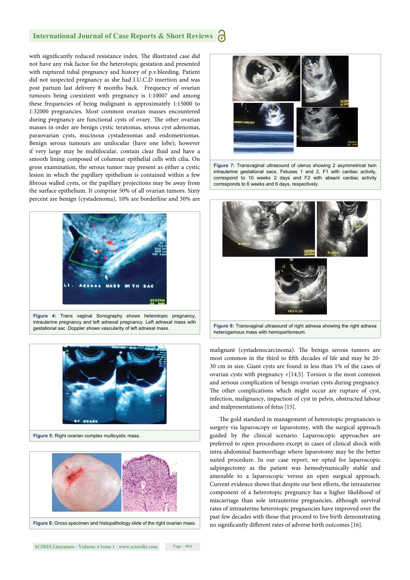#### **International Journal of Case Reports & Short Reviews**

with significantly reduced resistance index. The illustrated case did not have any risk factor for the heterotopic gestation and presented with ruptured tubal pregnancy and history of p.v.bleeding. Patient did not suspected pregnancy as she had I.U.C.D insertion and was post partum last delivery 8 months back. Frequency of ovarian tumours being coexistent with pregnancy is 1:10007 and among these frequencies of being malignant is approximately 1:15000 to 1:32000 pregnancies. Most common ovarian masses encountered during pregnancy are functional cysts of ovary. The other ovarian masses in order are benign cystic teratomas, serous cyst adenomas, paraovarian cysts, mucinous cystadenomas and endometriomas. Benign serous tumours are unilocular (have one lobe); however if very large may be multilocular, contain clear fluid and have a smooth lining composed of columnar epithelial cells with cilia. On gross examination, the serous tumor may present as either a cystic lesion in which the papillary epithelium is contained within a few fibrous walled cysts, or the papillary projections may be away from the surface epithelium. It comprise 50% of all ovarian tumors. Sixty percent are benign (cystadenoma), 10% are borderline and 30% are



intrauterine pregnancy and left adnexal pregnancy. Left adnexal mass with gestational sac .Doppler shows vascularity of left adnexal mass.







**Figure 7:** Transvaginal ultrasound of uterus showing 2 asymmetrical twin intrauterine gestational sacs. Fetuses 1 and 2, F1 with cardiac activity, correspond to 10 weeks 2 days and F2 with absent cardiac activity corresponds to 6 weeks and 6 days, respectively.



malignant (cystadenocarcinoma). The benign serous tumors are most common in the third to fifth decades of life and may be 20-30 cm in size. Giant cysts are found in less than 1% of the cases of ovarian cysts with pregnancy +[14,5]. Torsion is the most common and serious complication of benign ovarian cysts during pregnancy. The other complications which might occur are rupture of cyst, infection, malignancy, impaction of cyst in pelvis, obstructed labour and malpresentations of fetus [15].

The gold standard in management of heterotopic pregnancies is surgery via laparoscopy or laparotomy, with the surgical approach guided by the clinical scenario. Laparoscopic approaches are preferred to open procedures except in cases of clinical shock with intra-abdominal haemorrhage where laparotomy may be the better suited procedure. In our case report, we opted for laparoscopic salpingectomy as the patient was hemodynamically stable and amenable to a laparoscopic versus an open surgical approach. Current evidence shows that despite our best efforts, the intrauterine component of a heterotopic pregnancy has a higher likelihood of miscarriage than sole intrauterine pregnancies, although survival rates of intrauterine heterotopic pregnancies have improved over the past few decades with those that proceed to live birth demonstrating no significantly different rates of adverse birth outcomes [16].